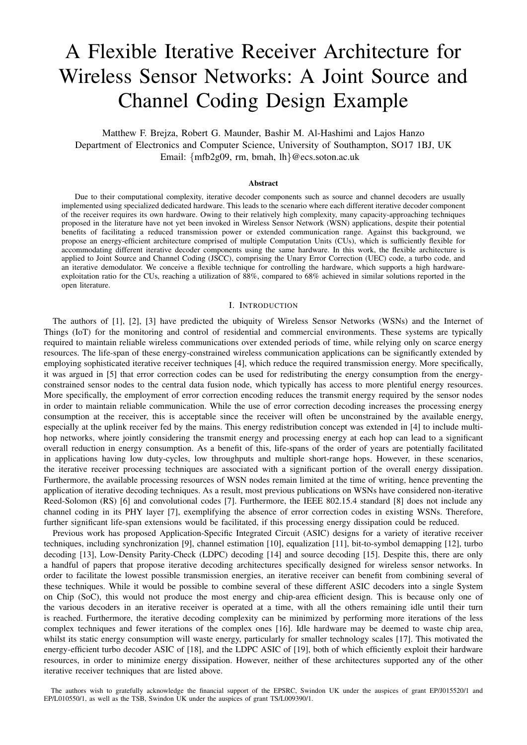# A Flexible Iterative Receiver Architecture for Wireless Sensor Networks: A Joint Source and Channel Coding Design Example

Matthew F. Brejza, Robert G. Maunder, Bashir M. Al-Hashimi and Lajos Hanzo Department of Electronics and Computer Science, University of Southampton, SO17 1BJ, UK Email: {mfb2g09, rm, bmah, lh}@ecs.soton.ac.uk

#### Abstract

Due to their computational complexity, iterative decoder components such as source and channel decoders are usually implemented using specialized dedicated hardware. This leads to the scenario where each different iterative decoder component of the receiver requires its own hardware. Owing to their relatively high complexity, many capacity-approaching techniques proposed in the literature have not yet been invoked in Wireless Sensor Network (WSN) applications, despite their potential benefits of facilitating a reduced transmission power or extended communication range. Against this background, we propose an energy-efficient architecture comprised of multiple Computation Units (CUs), which is sufficiently flexible for accommodating different iterative decoder components using the same hardware. In this work, the flexible architecture is applied to Joint Source and Channel Coding (JSCC), comprising the Unary Error Correction (UEC) code, a turbo code, and an iterative demodulator. We conceive a flexible technique for controlling the hardware, which supports a high hardwareexploitation ratio for the CUs, reaching a utilization of 88%, compared to 68% achieved in similar solutions reported in the open literature.

### I. INTRODUCTION

The authors of [1], [2], [3] have predicted the ubiquity of Wireless Sensor Networks (WSNs) and the Internet of Things (IoT) for the monitoring and control of residential and commercial environments. These systems are typically required to maintain reliable wireless communications over extended periods of time, while relying only on scarce energy resources. The life-span of these energy-constrained wireless communication applications can be significantly extended by employing sophisticated iterative receiver techniques [4], which reduce the required transmission energy. More specifically, it was argued in [5] that error correction codes can be used for redistributing the energy consumption from the energyconstrained sensor nodes to the central data fusion node, which typically has access to more plentiful energy resources. More specifically, the employment of error correction encoding reduces the transmit energy required by the sensor nodes in order to maintain reliable communication. While the use of error correction decoding increases the processing energy consumption at the receiver, this is acceptable since the receiver will often be unconstrained by the available energy, especially at the uplink receiver fed by the mains. This energy redistribution concept was extended in [4] to include multihop networks, where jointly considering the transmit energy and processing energy at each hop can lead to a significant overall reduction in energy consumption. As a benefit of this, life-spans of the order of years are potentially facilitated in applications having low duty-cycles, low throughputs and multiple short-range hops. However, in these scenarios, the iterative receiver processing techniques are associated with a significant portion of the overall energy dissipation. Furthermore, the available processing resources of WSN nodes remain limited at the time of writing, hence preventing the application of iterative decoding techniques. As a result, most previous publications on WSNs have considered non-iterative Reed-Solomon (RS) [6] and convolutional codes [7]. Furthermore, the IEEE 802.15.4 standard [8] does not include any channel coding in its PHY layer [7], exemplifying the absence of error correction codes in existing WSNs. Therefore, further significant life-span extensions would be facilitated, if this processing energy dissipation could be reduced.

Previous work has proposed Application-Specific Integrated Circuit (ASIC) designs for a variety of iterative receiver techniques, including synchronization [9], channel estimation [10], equalization [11], bit-to-symbol demapping [12], turbo decoding [13], Low-Density Parity-Check (LDPC) decoding [14] and source decoding [15]. Despite this, there are only a handful of papers that propose iterative decoding architectures specifically designed for wireless sensor networks. In order to facilitate the lowest possible transmission energies, an iterative receiver can benefit from combining several of these techniques. While it would be possible to combine several of these different ASIC decoders into a single System on Chip (SoC), this would not produce the most energy and chip-area efficient design. This is because only one of the various decoders in an iterative receiver is operated at a time, with all the others remaining idle until their turn is reached. Furthermore, the iterative decoding complexity can be minimized by performing more iterations of the less complex techniques and fewer iterations of the complex ones [16]. Idle hardware may be deemed to waste chip area, whilst its static energy consumption will waste energy, particularly for smaller technology scales [17]. This motivated the energy-efficient turbo decoder ASIC of [18], and the LDPC ASIC of [19], both of which efficiently exploit their hardware resources, in order to minimize energy dissipation. However, neither of these architectures supported any of the other iterative receiver techniques that are listed above.

The authors wish to gratefully acknowledge the financial support of the EPSRC, Swindon UK under the auspices of grant EP/J015520/1 and EP/L010550/1, as well as the TSB, Swindon UK under the auspices of grant TS/L009390/1.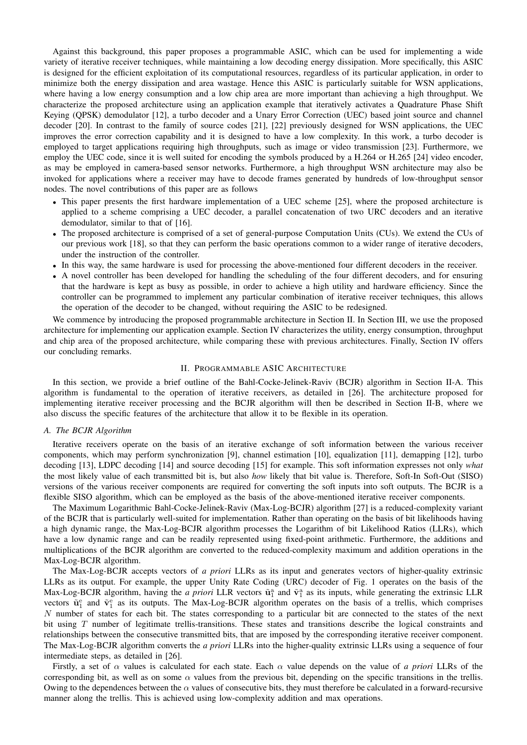Against this background, this paper proposes a programmable ASIC, which can be used for implementing a wide variety of iterative receiver techniques, while maintaining a low decoding energy dissipation. More specifically, this ASIC is designed for the efficient exploitation of its computational resources, regardless of its particular application, in order to minimize both the energy dissipation and area wastage. Hence this ASIC is particularly suitable for WSN applications, where having a low energy consumption and a low chip area are more important than achieving a high throughput. We characterize the proposed architecture using an application example that iteratively activates a Quadrature Phase Shift Keying (QPSK) demodulator [12], a turbo decoder and a Unary Error Correction (UEC) based joint source and channel decoder [20]. In contrast to the family of source codes [21], [22] previously designed for WSN applications, the UEC improves the error correction capability and it is designed to have a low complexity. In this work, a turbo decoder is employed to target applications requiring high throughputs, such as image or video transmission [23]. Furthermore, we employ the UEC code, since it is well suited for encoding the symbols produced by a H.264 or H.265 [24] video encoder, as may be employed in camera-based sensor networks. Furthermore, a high throughput WSN architecture may also be invoked for applications where a receiver may have to decode frames generated by hundreds of low-throughput sensor nodes. The novel contributions of this paper are as follows

- This paper presents the first hardware implementation of a UEC scheme [25], where the proposed architecture is applied to a scheme comprising a UEC decoder, a parallel concatenation of two URC decoders and an iterative demodulator, similar to that of [16].
- The proposed architecture is comprised of a set of general-purpose Computation Units (CUs). We extend the CUs of our previous work [18], so that they can perform the basic operations common to a wider range of iterative decoders, under the instruction of the controller.
- In this way, the same hardware is used for processing the above-mentioned four different decoders in the receiver.
- A novel controller has been developed for handling the scheduling of the four different decoders, and for ensuring that the hardware is kept as busy as possible, in order to achieve a high utility and hardware efficiency. Since the controller can be programmed to implement any particular combination of iterative receiver techniques, this allows the operation of the decoder to be changed, without requiring the ASIC to be redesigned.

We commence by introducing the proposed programmable architecture in Section II. In Section III, we use the proposed architecture for implementing our application example. Section IV characterizes the utility, energy consumption, throughput and chip area of the proposed architecture, while comparing these with previous architectures. Finally, Section IV offers our concluding remarks.

# II. PROGRAMMABLE ASIC ARCHITECTURE

In this section, we provide a brief outline of the Bahl-Cocke-Jelinek-Raviv (BCJR) algorithm in Section II-A. This algorithm is fundamental to the operation of iterative receivers, as detailed in [26]. The architecture proposed for implementing iterative receiver processing and the BCJR algorithm will then be described in Section II-B, where we also discuss the specific features of the architecture that allow it to be flexible in its operation.

## *A. The BCJR Algorithm*

Iterative receivers operate on the basis of an iterative exchange of soft information between the various receiver components, which may perform synchronization [9], channel estimation [10], equalization [11], demapping [12], turbo decoding [13], LDPC decoding [14] and source decoding [15] for example. This soft information expresses not only *what* the most likely value of each transmitted bit is, but also *how* likely that bit value is. Therefore, Soft-In Soft-Out (SISO) versions of the various receiver components are required for converting the soft inputs into soft outputs. The BCJR is a flexible SISO algorithm, which can be employed as the basis of the above-mentioned iterative receiver components.

The Maximum Logarithmic Bahl-Cocke-Jelinek-Raviv (Max-Log-BCJR) algorithm [27] is a reduced-complexity variant of the BCJR that is particularly well-suited for implementation. Rather than operating on the basis of bit likelihoods having a high dynamic range, the Max-Log-BCJR algorithm processes the Logarithm of bit Likelihood Ratios (LLRs), which have a low dynamic range and can be readily represented using fixed-point arithmetic. Furthermore, the additions and multiplications of the BCJR algorithm are converted to the reduced-complexity maximum and addition operations in the Max-Log-BCJR algorithm.

The Max-Log-BCJR accepts vectors of *a priori* LLRs as its input and generates vectors of higher-quality extrinsic LLRs as its output. For example, the upper Unity Rate Coding (URC) decoder of Fig. 1 operates on the basis of the Max-Log-BCJR algorithm, having the *a priori* LLR vectors  $\tilde{u}_1^a$  and  $\tilde{v}_1^a$  as its inputs, while generating the extrinsic LLR vectors  $\tilde{\mathbf{u}}_1^e$  and  $\tilde{\mathbf{v}}_1^e$  as its outputs. The Max-Log-BCJR algorithm operates on the basis of a trellis, which comprises N number of states for each bit. The states corresponding to a particular bit are connected to the states of the next bit using T number of legitimate trellis-transitions. These states and transitions describe the logical constraints and relationships between the consecutive transmitted bits, that are imposed by the corresponding iterative receiver component. The Max-Log-BCJR algorithm converts the *a priori* LLRs into the higher-quality extrinsic LLRs using a sequence of four intermediate steps, as detailed in [26].

Firstly, a set of  $\alpha$  values is calculated for each state. Each  $\alpha$  value depends on the value of *a priori* LLRs of the corresponding bit, as well as on some  $\alpha$  values from the previous bit, depending on the specific transitions in the trellis. Owing to the dependences between the  $\alpha$  values of consecutive bits, they must therefore be calculated in a forward-recursive manner along the trellis. This is achieved using low-complexity addition and max operations.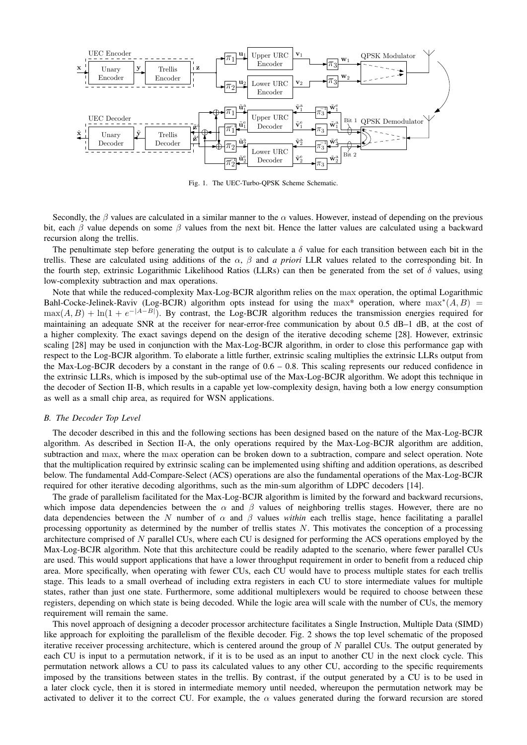

Fig. 1. The UEC-Turbo-QPSK Scheme Schematic.

Secondly, the  $\beta$  values are calculated in a similar manner to the  $\alpha$  values. However, instead of depending on the previous bit, each  $\beta$  value depends on some  $\beta$  values from the next bit. Hence the latter values are calculated using a backward recursion along the trellis.

The penultimate step before generating the output is to calculate a  $\delta$  value for each transition between each bit in the trellis. These are calculated using additions of the  $\alpha$ ,  $\beta$  and *a priori* LLR values related to the corresponding bit. In the fourth step, extrinsic Logarithmic Likelihood Ratios (LLRs) can then be generated from the set of  $\delta$  values, using low-complexity subtraction and max operations.

Note that while the reduced-complexity Max-Log-BCJR algorithm relies on the max operation, the optimal Logarithmic Bahl-Cocke-Jelinek-Raviv (Log-BCJR) algorithm opts instead for using the max\* operation, where  $\max^*(A, B)$  =  $max(A, B) + ln(1 + e^{-|A-B|})$ . By contrast, the Log-BCJR algorithm reduces the transmission energies required for maintaining an adequate SNR at the receiver for near-error-free communication by about 0.5 dB–1 dB, at the cost of a higher complexity. The exact savings depend on the design of the iterative decoding scheme [28]. However, extrinsic scaling [28] may be used in conjunction with the Max-Log-BCJR algorithm, in order to close this performance gap with respect to the Log-BCJR algorithm. To elaborate a little further, extrinsic scaling multiplies the extrinsic LLRs output from the Max-Log-BCJR decoders by a constant in the range of 0.6 – 0.8. This scaling represents our reduced confidence in the extrinsic LLRs, which is imposed by the sub-optimal use of the Max-Log-BCJR algorithm. We adopt this technique in the decoder of Section II-B, which results in a capable yet low-complexity design, having both a low energy consumption as well as a small chip area, as required for WSN applications.

# *B. The Decoder Top Level*

The decoder described in this and the following sections has been designed based on the nature of the Max-Log-BCJR algorithm. As described in Section II-A, the only operations required by the Max-Log-BCJR algorithm are addition, subtraction and max, where the max operation can be broken down to a subtraction, compare and select operation. Note that the multiplication required by extrinsic scaling can be implemented using shifting and addition operations, as described below. The fundamental Add-Compare-Select (ACS) operations are also the fundamental operations of the Max-Log-BCJR required for other iterative decoding algorithms, such as the min-sum algorithm of LDPC decoders [14].

The grade of parallelism facilitated for the Max-Log-BCJR algorithm is limited by the forward and backward recursions, which impose data dependencies between the  $\alpha$  and  $\beta$  values of neighboring trellis stages. However, there are no data dependencies between the N number of  $\alpha$  and  $\beta$  values *within* each trellis stage, hence facilitating a parallel processing opportunity as determined by the number of trellis states  $N$ . This motivates the conception of a processing architecture comprised of  $N$  parallel CUs, where each CU is designed for performing the ACS operations employed by the Max-Log-BCJR algorithm. Note that this architecture could be readily adapted to the scenario, where fewer parallel CUs are used. This would support applications that have a lower throughput requirement in order to benefit from a reduced chip area. More specifically, when operating with fewer CUs, each CU would have to process multiple states for each trellis stage. This leads to a small overhead of including extra registers in each CU to store intermediate values for multiple states, rather than just one state. Furthermore, some additional multiplexers would be required to choose between these registers, depending on which state is being decoded. While the logic area will scale with the number of CUs, the memory requirement will remain the same.

This novel approach of designing a decoder processor architecture facilitates a Single Instruction, Multiple Data (SIMD) like approach for exploiting the parallelism of the flexible decoder. Fig. 2 shows the top level schematic of the proposed iterative receiver processing architecture, which is centered around the group of  $N$  parallel CUs. The output generated by each CU is input to a permutation network, if it is to be used as an input to another CU in the next clock cycle. This permutation network allows a CU to pass its calculated values to any other CU, according to the specific requirements imposed by the transitions between states in the trellis. By contrast, if the output generated by a CU is to be used in a later clock cycle, then it is stored in intermediate memory until needed, whereupon the permutation network may be activated to deliver it to the correct CU. For example, the  $\alpha$  values generated during the forward recursion are stored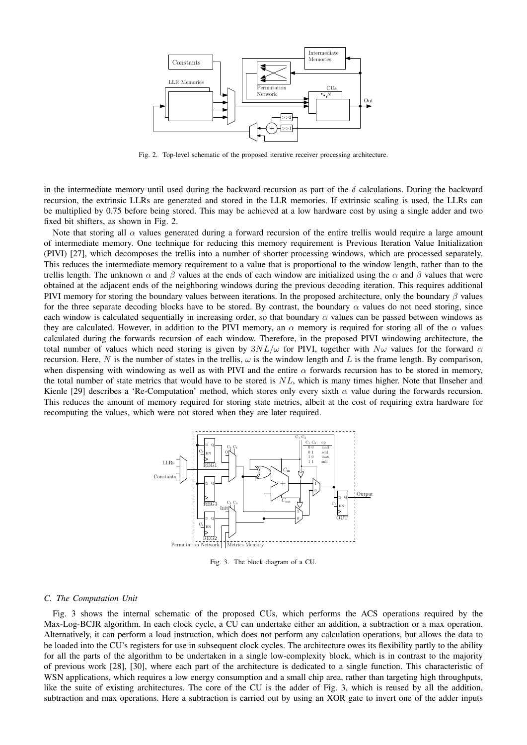

Fig. 2. Top-level schematic of the proposed iterative receiver processing architecture.

in the intermediate memory until used during the backward recursion as part of the  $\delta$  calculations. During the backward recursion, the extrinsic LLRs are generated and stored in the LLR memories. If extrinsic scaling is used, the LLRs can be multiplied by 0.75 before being stored. This may be achieved at a low hardware cost by using a single adder and two fixed bit shifters, as shown in Fig. 2.

Note that storing all  $\alpha$  values generated during a forward recursion of the entire trellis would require a large amount of intermediate memory. One technique for reducing this memory requirement is Previous Iteration Value Initialization (PIVI) [27], which decomposes the trellis into a number of shorter processing windows, which are processed separately. This reduces the intermediate memory requirement to a value that is proportional to the window length, rather than to the trellis length. The unknown  $\alpha$  and  $\beta$  values at the ends of each window are initialized using the  $\alpha$  and  $\beta$  values that were obtained at the adjacent ends of the neighboring windows during the previous decoding iteration. This requires additional PIVI memory for storing the boundary values between iterations. In the proposed architecture, only the boundary  $\beta$  values for the three separate decoding blocks have to be stored. By contrast, the boundary  $\alpha$  values do not need storing, since each window is calculated sequentially in increasing order, so that boundary  $\alpha$  values can be passed between windows as they are calculated. However, in addition to the PIVI memory, an  $\alpha$  memory is required for storing all of the  $\alpha$  values calculated during the forwards recursion of each window. Therefore, in the proposed PIVI windowing architecture, the total number of values which need storing is given by  $3NL/\omega$  for PIVI, together with  $N\omega$  values for the forward  $\alpha$ recursion. Here, N is the number of states in the trellis,  $\omega$  is the window length and L is the frame length. By comparison, when dispensing with windowing as well as with PIVI and the entire  $\alpha$  forwards recursion has to be stored in memory, the total number of state metrics that would have to be stored is  $NL$ , which is many times higher. Note that Ilnseher and Kienle [29] describes a 'Re-Computation' method, which stores only every sixth  $\alpha$  value during the forwards recursion. This reduces the amount of memory required for storing state metrics, albeit at the cost of requiring extra hardware for recomputing the values, which were not stored when they are later required.



Fig. 3. The block diagram of a CU.

### *C. The Computation Unit*

Fig. 3 shows the internal schematic of the proposed CUs, which performs the ACS operations required by the Max-Log-BCJR algorithm. In each clock cycle, a CU can undertake either an addition, a subtraction or a max operation. Alternatively, it can perform a load instruction, which does not perform any calculation operations, but allows the data to be loaded into the CU's registers for use in subsequent clock cycles. The architecture owes its flexibility partly to the ability for all the parts of the algorithm to be undertaken in a single low-complexity block, which is in contrast to the majority of previous work [28], [30], where each part of the architecture is dedicated to a single function. This characteristic of WSN applications, which requires a low energy consumption and a small chip area, rather than targeting high throughputs, like the suite of existing architectures. The core of the CU is the adder of Fig. 3, which is reused by all the addition, subtraction and max operations. Here a subtraction is carried out by using an XOR gate to invert one of the adder inputs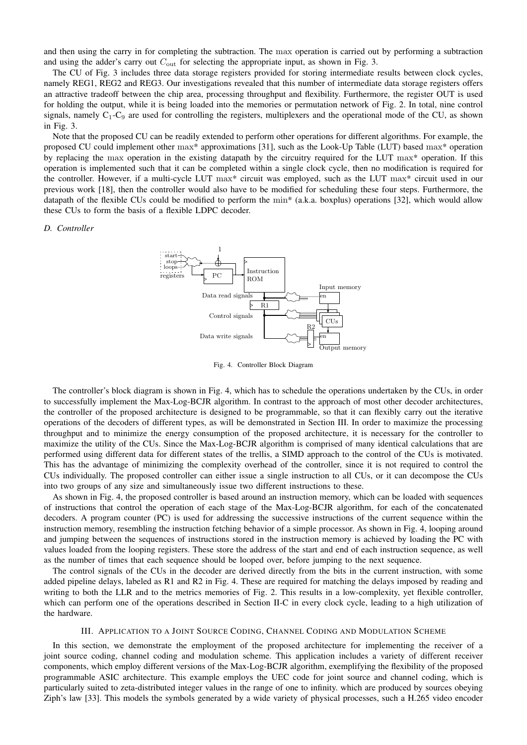and then using the carry in for completing the subtraction. The max operation is carried out by performing a subtraction and using the adder's carry out  $C_{\text{out}}$  for selecting the appropriate input, as shown in Fig. 3.

The CU of Fig. 3 includes three data storage registers provided for storing intermediate results between clock cycles, namely REG1, REG2 and REG3. Our investigations revealed that this number of intermediate data storage registers offers an attractive tradeoff between the chip area, processing throughput and flexibility. Furthermore, the register OUT is used for holding the output, while it is being loaded into the memories or permutation network of Fig. 2. In total, nine control signals, namely  $C_1-C_9$  are used for controlling the registers, multiplexers and the operational mode of the CU, as shown in Fig. 3.

Note that the proposed CU can be readily extended to perform other operations for different algorithms. For example, the proposed CU could implement other max\* approximations [31], such as the Look-Up Table (LUT) based max\* operation by replacing the max operation in the existing datapath by the circuitry required for the LUT max\* operation. If this operation is implemented such that it can be completed within a single clock cycle, then no modification is required for the controller. However, if a multi-cycle LUT max\* circuit was employed, such as the LUT max\* circuit used in our previous work [18], then the controller would also have to be modified for scheduling these four steps. Furthermore, the datapath of the flexible CUs could be modified to perform the min\* (a.k.a. boxplus) operations [32], which would allow these CUs to form the basis of a flexible LDPC decoder.

# *D. Controller*



Fig. 4. Controller Block Diagram

The controller's block diagram is shown in Fig. 4, which has to schedule the operations undertaken by the CUs, in order to successfully implement the Max-Log-BCJR algorithm. In contrast to the approach of most other decoder architectures, the controller of the proposed architecture is designed to be programmable, so that it can flexibly carry out the iterative operations of the decoders of different types, as will be demonstrated in Section III. In order to maximize the processing throughput and to minimize the energy consumption of the proposed architecture, it is necessary for the controller to maximize the utility of the CUs. Since the Max-Log-BCJR algorithm is comprised of many identical calculations that are performed using different data for different states of the trellis, a SIMD approach to the control of the CUs is motivated. This has the advantage of minimizing the complexity overhead of the controller, since it is not required to control the CUs individually. The proposed controller can either issue a single instruction to all CUs, or it can decompose the CUs into two groups of any size and simultaneously issue two different instructions to these.

As shown in Fig. 4, the proposed controller is based around an instruction memory, which can be loaded with sequences of instructions that control the operation of each stage of the Max-Log-BCJR algorithm, for each of the concatenated decoders. A program counter (PC) is used for addressing the successive instructions of the current sequence within the instruction memory, resembling the instruction fetching behavior of a simple processor. As shown in Fig. 4, looping around and jumping between the sequences of instructions stored in the instruction memory is achieved by loading the PC with values loaded from the looping registers. These store the address of the start and end of each instruction sequence, as well as the number of times that each sequence should be looped over, before jumping to the next sequence.

The control signals of the CUs in the decoder are derived directly from the bits in the current instruction, with some added pipeline delays, labeled as R1 and R2 in Fig. 4. These are required for matching the delays imposed by reading and writing to both the LLR and to the metrics memories of Fig. 2. This results in a low-complexity, yet flexible controller, which can perform one of the operations described in Section II-C in every clock cycle, leading to a high utilization of the hardware.

# III. APPLICATION TO A JOINT SOURCE CODING, CHANNEL CODING AND MODULATION SCHEME

In this section, we demonstrate the employment of the proposed architecture for implementing the receiver of a joint source coding, channel coding and modulation scheme. This application includes a variety of different receiver components, which employ different versions of the Max-Log-BCJR algorithm, exemplifying the flexibility of the proposed programmable ASIC architecture. This example employs the UEC code for joint source and channel coding, which is particularly suited to zeta-distributed integer values in the range of one to infinity. which are produced by sources obeying Ziph's law [33]. This models the symbols generated by a wide variety of physical processes, such a H.265 video encoder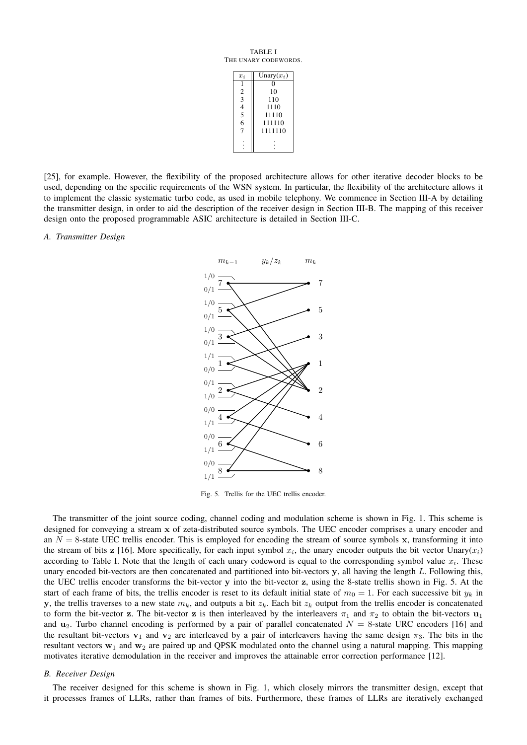TABLE I THE UNARY CODEWORDS.

| $x_i$                                      | Unary $(x_i)$ |  |  |
|--------------------------------------------|---------------|--|--|
|                                            |               |  |  |
| 2                                          | 10            |  |  |
| $\overline{3}$                             | 110           |  |  |
|                                            | 1110          |  |  |
| $\begin{array}{c} 4 \\ 5 \\ 6 \end{array}$ | 11110         |  |  |
|                                            | 111110        |  |  |
| 7                                          | 1111110       |  |  |
|                                            |               |  |  |

[25], for example. However, the flexibility of the proposed architecture allows for other iterative decoder blocks to be used, depending on the specific requirements of the WSN system. In particular, the flexibility of the architecture allows it to implement the classic systematic turbo code, as used in mobile telephony. We commence in Section III-A by detailing the transmitter design, in order to aid the description of the receiver design in Section III-B. The mapping of this receiver design onto the proposed programmable ASIC architecture is detailed in Section III-C.

# *A. Transmitter Design*



Fig. 5. Trellis for the UEC trellis encoder.

The transmitter of the joint source coding, channel coding and modulation scheme is shown in Fig. 1. This scheme is designed for conveying a stream x of zeta-distributed source symbols. The UEC encoder comprises a unary encoder and an  $N = 8$ -state UEC trellis encoder. This is employed for encoding the stream of source symbols x, transforming it into the stream of bits z [16]. More specifically, for each input symbol  $x_i$ , the unary encoder outputs the bit vector Unary $(x_i)$ according to Table I. Note that the length of each unary codeword is equal to the corresponding symbol value  $x_i$ . These unary encoded bit-vectors are then concatenated and partitioned into bit-vectors  $y$ , all having the length  $L$ . Following this, the UEC trellis encoder transforms the bit-vector y into the bit-vector z, using the 8-state trellis shown in Fig. 5. At the start of each frame of bits, the trellis encoder is reset to its default initial state of  $m_0 = 1$ . For each successive bit  $y_k$  in y, the trellis traverses to a new state  $m_k$ , and outputs a bit  $z_k$ . Each bit  $z_k$  output from the trellis encoder is concatenated to form the bit-vector z. The bit-vector z is then interleaved by the interleavers  $\pi_1$  and  $\pi_2$  to obtain the bit-vectors  $\mathbf{u}_1$ and  $u_2$ . Turbo channel encoding is performed by a pair of parallel concatenated  $N = 8$ -state URC encoders [16] and the resultant bit-vectors  $v_1$  and  $v_2$  are interleaved by a pair of interleavers having the same design  $\pi_3$ . The bits in the resultant vectors  $w_1$  and  $w_2$  are paired up and QPSK modulated onto the channel using a natural mapping. This mapping motivates iterative demodulation in the receiver and improves the attainable error correction performance [12].

#### *B. Receiver Design*

The receiver designed for this scheme is shown in Fig. 1, which closely mirrors the transmitter design, except that it processes frames of LLRs, rather than frames of bits. Furthermore, these frames of LLRs are iteratively exchanged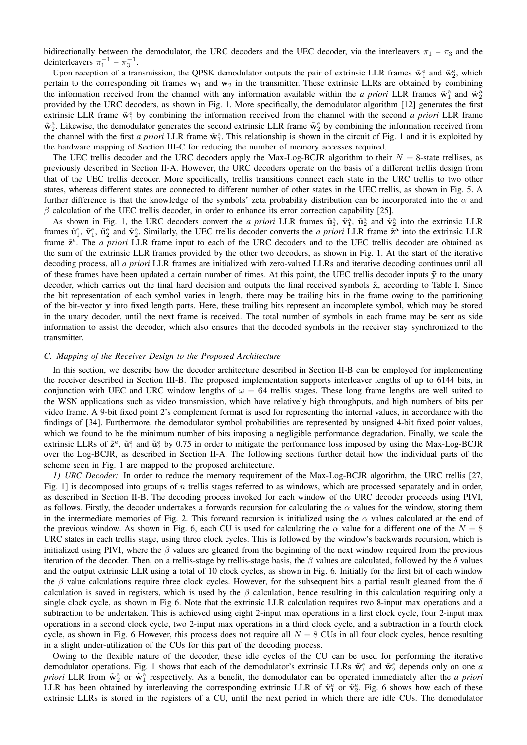bidirectionally between the demodulator, the URC decoders and the UEC decoder, via the interleavers  $\pi_1 - \pi_3$  and the deinterleavers  $\pi_1^{-1} - \pi_3^{-1}$ .

Upon reception of a transmission, the QPSK demodulator outputs the pair of extrinsic LLR frames  $\tilde{w}_1^e$  and  $\tilde{w}_2^e$ , which pertain to the corresponding bit frames  $w_1$  and  $w_2$  in the transmitter. These extrinsic LLRs are obtained by combining the information received from the channel with any information available within the *a priori* LLR frames  $\tilde{w}_1^a$  and  $\tilde{w}_2^a$ provided by the URC decoders, as shown in Fig. 1. More specifically, the demodulator algorithm [12] generates the first extrinsic LLR frame  $\tilde{w}_1^e$  by combining the information received from the channel with the second *a priori* LLR frame  $\tilde{w}_2^a$ . Likewise, the demodulator generates the second extrinsic LLR frame  $\tilde{w}_2^e$  by combining the information received from the channel with the first *a priori* LLR frame  $\tilde{w}_1^a$ . This relationship is shown in the circuit of Fig. 1 and it is exploited by the hardware mapping of Section III-C for reducing the number of memory accesses required.

The UEC trellis decoder and the URC decoders apply the Max-Log-BCJR algorithm to their  $N = 8$ -state trellises, as previously described in Section II-A. However, the URC decoders operate on the basis of a different trellis design from that of the UEC trellis decoder. More specifically, trellis transitions connect each state in the URC trellis to two other states, whereas different states are connected to different number of other states in the UEC trellis, as shown in Fig. 5. A further difference is that the knowledge of the symbols' zeta probability distribution can be incorporated into the  $\alpha$  and  $\beta$  calculation of the UEC trellis decoder, in order to enhance its error correction capability [25].

As shown in Fig. 1, the URC decoders convert the *a priori* LLR frames  $\tilde{\mathbf{u}}_1^{\text{a}}, \tilde{\mathbf{v}}_1^{\text{a}}, \tilde{\mathbf{u}}_2^{\text{a}}$  and  $\tilde{\mathbf{v}}_2^{\text{a}}$  into the extrinsic LLR frames  $\tilde{\mathbf{u}}_1^e$ ,  $\tilde{\mathbf{v}}_1^e$ ,  $\tilde{\mathbf{u}}_2^e$  and  $\tilde{\mathbf{v}}_2^e$ . Similarly, the UEC trellis decoder converts the *a priori* LLR frame  $\tilde{\mathbf{z}}^a$  into the extrinsic LLR frame  $\tilde{\mathbf{z}}^e$ . The *a priori* LLR frame input to each of the URC decoders and to the UEC trellis decoder are obtained as the sum of the extrinsic LLR frames provided by the other two decoders, as shown in Fig. 1. At the start of the iterative decoding process, all *a priori* LLR frames are initialized with zero-valued LLRs and iterative decoding continues until all of these frames have been updated a certain number of times. At this point, the UEC trellis decoder inputs  $\tilde{y}$  to the unary decoder, which carries out the final hard decision and outputs the final received symbols  $\hat{x}$ , according to Table I. Since the bit representation of each symbol varies in length, there may be trailing bits in the frame owing to the partitioning of the bit-vector y into fixed length parts. Here, these trailing bits represent an incomplete symbol, which may be stored in the unary decoder, until the next frame is received. The total number of symbols in each frame may be sent as side information to assist the decoder, which also ensures that the decoded symbols in the receiver stay synchronized to the transmitter.

# *C. Mapping of the Receiver Design to the Proposed Architecture*

In this section, we describe how the decoder architecture described in Section II-B can be employed for implementing the receiver described in Section III-B. The proposed implementation supports interleaver lengths of up to 6144 bits, in conjunction with UEC and URC window lengths of  $\omega = 64$  trellis stages. These long frame lengths are well suited to the WSN applications such as video transmission, which have relatively high throughputs, and high numbers of bits per video frame. A 9-bit fixed point 2's complement format is used for representing the internal values, in accordance with the findings of [34]. Furthermore, the demodulator symbol probabilities are represented by unsigned 4-bit fixed point values, which we found to be the minimum number of bits imposing a negligible performance degradation. Finally, we scale the extrinsic LLRs of  $\tilde{\mathbf{z}}^e$ ,  $\tilde{\mathbf{u}}_1^e$  and  $\tilde{\mathbf{u}}_2^e$  by 0.75 in order to mitigate the performance loss imposed by using the Max-Log-BCJR over the Log-BCJR, as described in Section II-A. The following sections further detail how the individual parts of the scheme seen in Fig. 1 are mapped to the proposed architecture.

*1) URC Decoder:* In order to reduce the memory requirement of the Max-Log-BCJR algorithm, the URC trellis [27, Fig. 1] is decomposed into groups of  $n$  trellis stages referred to as windows, which are processed separately and in order, as described in Section II-B. The decoding process invoked for each window of the URC decoder proceeds using PIVI, as follows. Firstly, the decoder undertakes a forwards recursion for calculating the  $\alpha$  values for the window, storing them in the intermediate memories of Fig. 2. This forward recursion is initialized using the  $\alpha$  values calculated at the end of the previous window. As shown in Fig. 6, each CU is used for calculating the  $\alpha$  value for a different one of the  $N = 8$ URC states in each trellis stage, using three clock cycles. This is followed by the window's backwards recursion, which is initialized using PIVI, where the  $\beta$  values are gleaned from the beginning of the next window required from the previous iteration of the decoder. Then, on a trellis-stage by trellis-stage basis, the  $\beta$  values are calculated, followed by the  $\delta$  values and the output extrinsic LLR using a total of 10 clock cycles, as shown in Fig. 6. Initially for the first bit of each window the  $\beta$  value calculations require three clock cycles. However, for the subsequent bits a partial result gleaned from the  $\delta$ calculation is saved in registers, which is used by the  $\beta$  calculation, hence resulting in this calculation requiring only a single clock cycle, as shown in Fig 6. Note that the extrinsic LLR calculation requires two 8-input max operations and a subtraction to be undertaken. This is achieved using eight 2-input max operations in a first clock cycle, four 2-input max operations in a second clock cycle, two 2-input max operations in a third clock cycle, and a subtraction in a fourth clock cycle, as shown in Fig. 6 However, this process does not require all  $N = 8$  CUs in all four clock cycles, hence resulting in a slight under-utilization of the CUs for this part of the decoding process.

Owing to the flexible nature of the decoder, these idle cycles of the CU can be used for performing the iterative demodulator operations. Fig. 1 shows that each of the demodulator's extrinsic LLRs  $\tilde{w}_1^e$  and  $\tilde{w}_2^e$  depends only on one *a priori* LLR from  $\tilde{w}_2^a$  or  $\tilde{w}_1^a$  respectively. As a benefit, the demodulator can be operated immediately after the *a priori* LLR has been obtained by interleaving the corresponding extrinsic LLR of  $\tilde{\mathbf{v}}_1^e$  or  $\tilde{\mathbf{v}}_2^e$ . Fig. 6 shows how each of these extrinsic LLRs is stored in the registers of a CU, until the next period in which there are idle CUs. The demodulator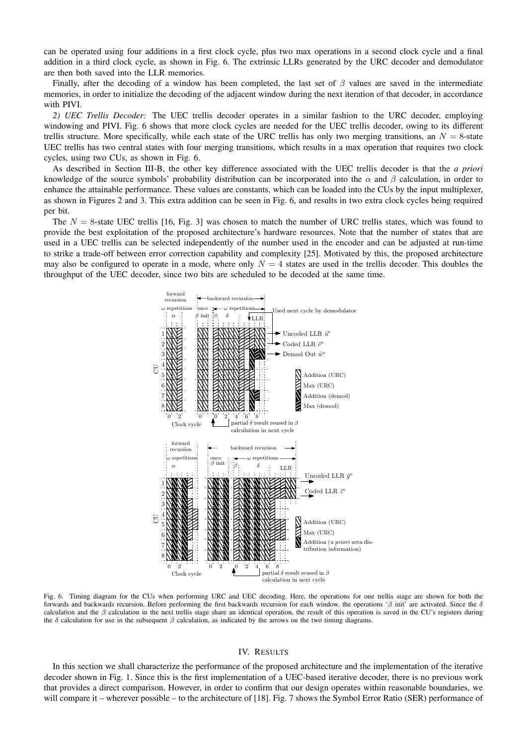can be operated using four additions in a first clock cycle, plus two max operations in a second clock cycle and a final addition in a third clock cycle, as shown in Fig. 6. The extrinsic LLRs generated by the URC decoder and demodulator are then both saved into the LLR memories.

Finally, after the decoding of a window has been completed, the last set of  $\beta$  values are saved in the intermediate memories, in order to initialize the decoding of the adjacent window during the next iteration of that decoder, in accordance with PIVI.

*2) UEC Trellis Decoder:* The UEC trellis decoder operates in a similar fashion to the URC decoder, employing windowing and PIVI. Fig. 6 shows that more clock cycles are needed for the UEC trellis decoder, owing to its different trellis structure. More specifically, while each state of the URC trellis has only two merging transitions, an  $N = 8$ -state UEC trellis has two central states with four merging transitions, which results in a max operation that requires two clock cycles, using two CUs, as shown in Fig. 6.

As described in Section III-B, the other key difference associated with the UEC trellis decoder is that the *a priori* knowledge of the source symbols' probability distribution can be incorporated into the  $\alpha$  and  $\beta$  calculation, in order to enhance the attainable performance. These values are constants, which can be loaded into the CUs by the input multiplexer, as shown in Figures 2 and 3. This extra addition can be seen in Fig. 6, and results in two extra clock cycles being required per bit.

The  $N = 8$ -state UEC trellis [16, Fig. 3] was chosen to match the number of URC trellis states, which was found to provide the best exploitation of the proposed architecture's hardware resources. Note that the number of states that are used in a UEC trellis can be selected independently of the number used in the encoder and can be adjusted at run-time to strike a trade-off between error correction capability and complexity [25]. Motivated by this, the proposed architecture may also be configured to operate in a mode, where only  $N = 4$  states are used in the trellis decoder. This doubles the throughput of the UEC decoder, since two bits are scheduled to be decoded at the same time.



Fig. 6. Timing diagram for the CUs when performing URC and UEC decoding. Here, the operations for one trellis stage are shown for both the forwards and backwards recursion. Before performing the first backwards recursion for each window, the operations ' $\beta$  init' are activated. Since the  $\delta$ calculation and the  $\beta$  calculation in the next trellis stage share an identical operation, the result of this operation is saved in the CU's registers during the  $\delta$  calculation for use in the subsequent  $\beta$  calculation, as indicated by the arrows on the two timing diagrams.

# IV. RESULTS

In this section we shall characterize the performance of the proposed architecture and the implementation of the iterative decoder shown in Fig. 1. Since this is the first implementation of a UEC-based iterative decoder, there is no previous work that provides a direct comparison. However, in order to confirm that our design operates within reasonable boundaries, we will compare it – wherever possible – to the architecture of [18]. Fig. 7 shows the Symbol Error Ratio (SER) performance of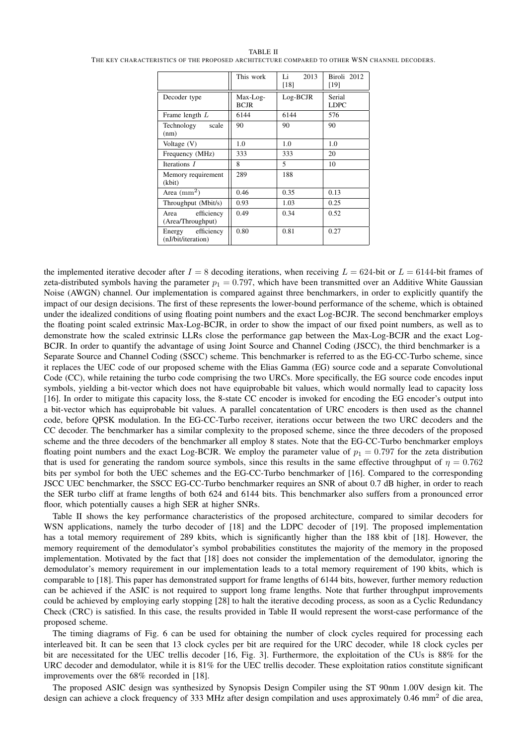#### TABLE II

|                                         | This work               | 2013<br>Li<br>[18]       | Biroli 2012<br>[19]   |
|-----------------------------------------|-------------------------|--------------------------|-----------------------|
| Decoder type                            | Max-Log-<br><b>BCJR</b> | Log-BCJR                 | Serial<br><b>LDPC</b> |
| Frame length $L$                        | 6144                    | 6144                     | 576                   |
| Technology<br>scale<br>(nm)             | 90                      | 90                       | 90                    |
| Voltage (V)                             | 1.0                     | 1.0                      | 1.0                   |
| Frequency (MHz)                         | 333                     | 333                      | 20                    |
| Iterations $I$                          | 8                       | $\overline{\phantom{0}}$ | 10                    |
| Memory requirement<br>(kbit)            | 289                     | 188                      |                       |
| Area $(mm2)$                            | 0.46                    | 0.35                     | 0.13                  |
| Throughput (Mbit/s)                     | 0.93                    | 1.03                     | 0.25                  |
| efficiency<br>Area<br>(Area/Throughput) | 0.49                    | 0.34                     | 0.52                  |
| Energy efficiency<br>(nJ/bit/iteration) | 0.80                    | 0.81                     | 0.27                  |

THE KEY CHARACTERISTICS OF THE PROPOSED ARCHITECTURE COMPARED TO OTHER WSN CHANNEL DECODERS.

the implemented iterative decoder after  $I = 8$  decoding iterations, when receiving  $L = 624$ -bit or  $L = 6144$ -bit frames of zeta-distributed symbols having the parameter  $p_1 = 0.797$ , which have been transmitted over an Additive White Gaussian Noise (AWGN) channel. Our implementation is compared against three benchmarkers, in order to explicitly quantify the impact of our design decisions. The first of these represents the lower-bound performance of the scheme, which is obtained under the idealized conditions of using floating point numbers and the exact Log-BCJR. The second benchmarker employs the floating point scaled extrinsic Max-Log-BCJR, in order to show the impact of our fixed point numbers, as well as to demonstrate how the scaled extrinsic LLRs close the performance gap between the Max-Log-BCJR and the exact Log-BCJR. In order to quantify the advantage of using Joint Source and Channel Coding (JSCC), the third benchmarker is a Separate Source and Channel Coding (SSCC) scheme. This benchmarker is referred to as the EG-CC-Turbo scheme, since it replaces the UEC code of our proposed scheme with the Elias Gamma (EG) source code and a separate Convolutional Code (CC), while retaining the turbo code comprising the two URCs. More specifically, the EG source code encodes input symbols, yielding a bit-vector which does not have equiprobable bit values, which would normally lead to capacity loss [16]. In order to mitigate this capacity loss, the 8-state CC encoder is invoked for encoding the EG encoder's output into a bit-vector which has equiprobable bit values. A parallel concatentation of URC encoders is then used as the channel code, before QPSK modulation. In the EG-CC-Turbo receiver, iterations occur between the two URC decoders and the CC decoder. The benchmarker has a similar complexity to the proposed scheme, since the three decoders of the proposed scheme and the three decoders of the benchmarker all employ 8 states. Note that the EG-CC-Turbo benchmarker employs floating point numbers and the exact Log-BCJR. We employ the parameter value of  $p_1 = 0.797$  for the zeta distribution that is used for generating the random source symbols, since this results in the same effective throughput of  $\eta = 0.762$ bits per symbol for both the UEC schemes and the EG-CC-Turbo benchmarker of [16]. Compared to the corresponding JSCC UEC benchmarker, the SSCC EG-CC-Turbo benchmarker requires an SNR of about 0.7 dB higher, in order to reach the SER turbo cliff at frame lengths of both 624 and 6144 bits. This benchmarker also suffers from a pronounced error floor, which potentially causes a high SER at higher SNRs.

Table II shows the key performance characteristics of the proposed architecture, compared to similar decoders for WSN applications, namely the turbo decoder of [18] and the LDPC decoder of [19]. The proposed implementation has a total memory requirement of 289 kbits, which is significantly higher than the 188 kbit of [18]. However, the memory requirement of the demodulator's symbol probabilities constitutes the majority of the memory in the proposed implementation. Motivated by the fact that [18] does not consider the implementation of the demodulator, ignoring the demodulator's memory requirement in our implementation leads to a total memory requirement of 190 kbits, which is comparable to [18]. This paper has demonstrated support for frame lengths of 6144 bits, however, further memory reduction can be achieved if the ASIC is not required to support long frame lengths. Note that further throughput improvements could be achieved by employing early stopping [28] to halt the iterative decoding process, as soon as a Cyclic Redundancy Check (CRC) is satisfied. In this case, the results provided in Table II would represent the worst-case performance of the proposed scheme.

The timing diagrams of Fig. 6 can be used for obtaining the number of clock cycles required for processing each interleaved bit. It can be seen that 13 clock cycles per bit are required for the URC decoder, while 18 clock cycles per bit are necessitated for the UEC trellis decoder [16, Fig. 3]. Furthermore, the exploitation of the CUs is 88% for the URC decoder and demodulator, while it is 81% for the UEC trellis decoder. These exploitation ratios constitute significant improvements over the 68% recorded in [18].

The proposed ASIC design was synthesized by Synopsis Design Compiler using the ST 90nm 1.00V design kit. The design can achieve a clock frequency of 333 MHz after design compilation and uses approximately 0.46 mm<sup>2</sup> of die area,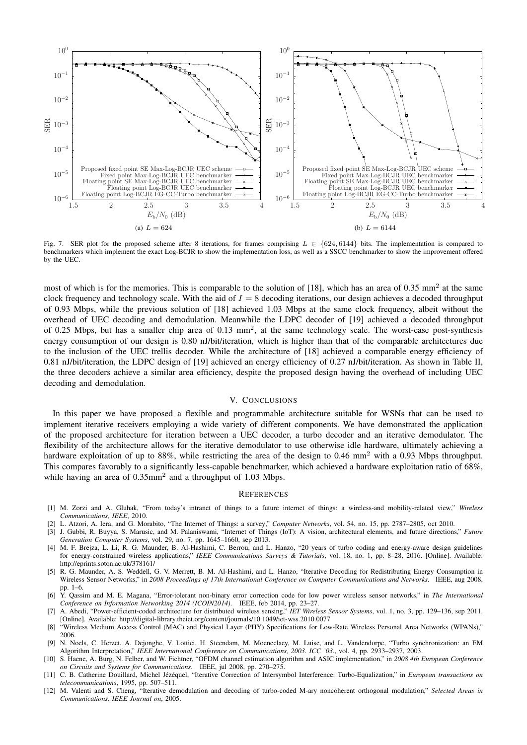

Fig. 7. SER plot for the proposed scheme after 8 iterations, for frames comprising  $L \in \{624, 6144\}$  bits. The implementation is compared to benchmarkers which implement the exact Log-BCJR to show the implementation loss, as well as a SSCC benchmarker to show the improvement offered by the UEC.

most of which is for the memories. This is comparable to the solution of [18], which has an area of  $0.35 \text{ mm}^2$  at the same clock frequency and technology scale. With the aid of  $I = 8$  decoding iterations, our design achieves a decoded throughput of 0.93 Mbps, while the previous solution of [18] achieved 1.03 Mbps at the same clock frequency, albeit without the overhead of UEC decoding and demodulation. Meanwhile the LDPC decoder of [19] achieved a decoded throughput of 0.25 Mbps, but has a smaller chip area of 0.13 mm<sup>2</sup>, at the same technology scale. The worst-case post-synthesis energy consumption of our design is 0.80 nJ/bit/iteration, which is higher than that of the comparable architectures due to the inclusion of the UEC trellis decoder. While the architecture of [18] achieved a comparable energy efficiency of 0.81 nJ/bit/iteration, the LDPC design of [19] achieved an energy efficiency of 0.27 nJ/bit/iteration. As shown in Table II, the three decoders achieve a similar area efficiency, despite the proposed design having the overhead of including UEC decoding and demodulation.

#### V. CONCLUSIONS

In this paper we have proposed a flexible and programmable architecture suitable for WSNs that can be used to implement iterative receivers employing a wide variety of different components. We have demonstrated the application of the proposed architecture for iteration between a UEC decoder, a turbo decoder and an iterative demodulator. The flexibility of the architecture allows for the iterative demodulator to use otherwise idle hardware, ultimately achieving a hardware exploitation of up to 88%, while restricting the area of the design to 0.46 mm<sup>2</sup> with a 0.93 Mbps throughput. This compares favorably to a significantly less-capable benchmarker, which achieved a hardware exploitation ratio of 68%, while having an area of 0.35mm<sup>2</sup> and a throughput of 1.03 Mbps.

#### **REFERENCES**

- [1] M. Zorzi and A. Gluhak, "From today's intranet of things to a future internet of things: a wireless-and mobility-related view," *Wireless Communications, IEEE*, 2010.
- [2] L. Atzori, A. Iera, and G. Morabito, "The Internet of Things: a survey," *Computer Networks*, vol. 54, no. 15, pp. 2787–2805, oct 2010.
- [3] J. Gubbi, R. Buyya, S. Marusic, and M. Palaniswami, "Internet of Things (IoT): A vision, architectural elements, and future directions," *Future Generation Computer Systems*, vol. 29, no. 7, pp. 1645–1660, sep 2013.
- [4] M. F. Brejza, L. Li, R. G. Maunder, B. Al-Hashimi, C. Berrou, and L. Hanzo, "20 years of turbo coding and energy-aware design guidelines for energy-constrained wireless applications," *IEEE Communications Surveys & Tutorials*, vol. 18, no. 1, pp. 8–28, 2016. [Online]. Available: http://eprints.soton.ac.uk/378161/
- [5] R. G. Maunder, A. S. Weddell, G. V. Merrett, B. M. Al-Hashimi, and L. Hanzo, "Iterative Decoding for Redistributing Energy Consumption in Wireless Sensor Networks," in *2008 Proceedings of 17th International Conference on Computer Communications and Networks*. IEEE, aug 2008, pp. 1–6.
- [6] Y. Qassim and M. E. Magana, "Error-tolerant non-binary error correction code for low power wireless sensor networks," in *The International Conference on Information Networking 2014 (ICOIN2014)*. IEEE, feb 2014, pp. 23–27.
- [7] A. Abedi, "Power-efficient-coded architecture for distributed wireless sensing," *IET Wireless Sensor Systems*, vol. 1, no. 3, pp. 129–136, sep 2011. [Online]. Available: http://digital-library.theiet.org/content/journals/10.1049/iet-wss.2010.0077
- [8] "Wireless Medium Access Control (MAC) and Physical Layer (PHY) Specifications for Low-Rate Wireless Personal Area Networks (WPANs)," 2006.
- [9] N. Noels, C. Herzet, A. Dejonghe, V. Lottici, H. Steendam, M. Moeneclaey, M. Luise, and L. Vandendorpe, "Turbo synchronization: an EM Algorithm Interpretation," *IEEE International Conference on Communications, 2003. ICC '03.*, vol. 4, pp. 2933–2937, 2003.
- [10] S. Haene, A. Burg, N. Felber, and W. Fichtner, "OFDM channel estimation algorithm and ASIC implementation," in *2008 4th European Conference on Circuits and Systems for Communications*. IEEE, jul 2008, pp. 270–275.
- [11] C. B. Catherine Douillard, Michel Jézéquel, "Iterative Correction of Intersymbol Interference: Turbo-Equalization," in *European transactions on telecommunications*, 1995, pp. 507–511.
- [12] M. Valenti and S. Cheng, "Iterative demodulation and decoding of turbo-coded M-ary noncoherent orthogonal modulation," *Selected Areas in Communications, IEEE Journal on*, 2005.